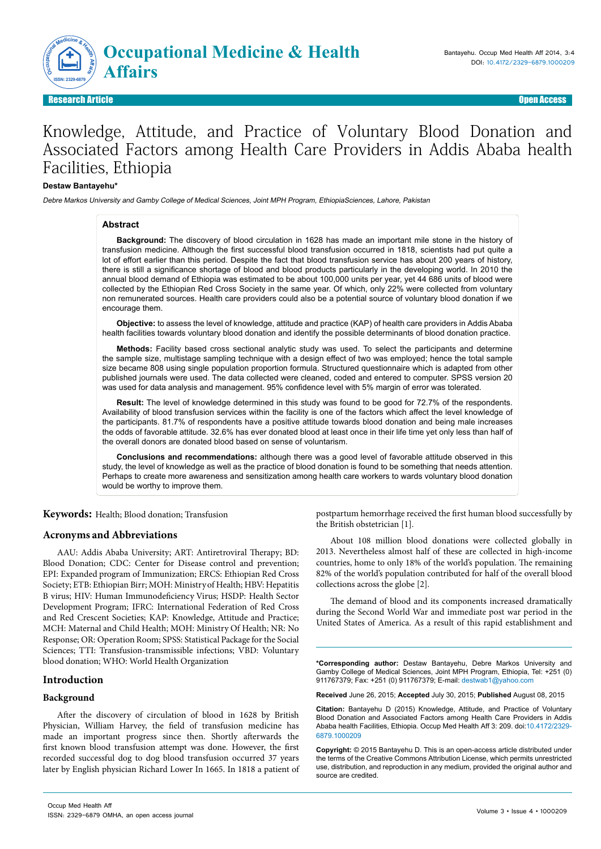

Open Access

# Knowledge, Attitude, and Practice of Voluntary Blood Donation and Associated Factors among Health Care Providers in Addis Ababa health Facilities, Ethiopia

#### **Destaw Bantayehu\***

Debre Markos University and Gamby College of Medical Sciences, Joint MPH Program, EthiopiaSciences, Lahore, Pakistan

#### **Abstract**

**Background:** The discovery of blood circulation in 1628 has made an important mile stone in the history of transfusion medicine. Although the first successful blood transfusion occurred in 1818, scientists had put quite a lot of effort earlier than this period. Despite the fact that blood transfusion service has about 200 years of history, there is still a significance shortage of blood and blood products particularly in the developing world. In 2010 the annual blood demand of Ethiopia was estimated to be about 100,000 units per year, yet 44 686 units of blood were collected by the Ethiopian Red Cross Society in the same year. Of which, only 22% were collected from voluntary non remunerated sources. Health care providers could also be a potential source of voluntary blood donation if we encourage them.

**Objective:** to assess the level of knowledge, attitude and practice (KAP) of health care providers in Addis Ababa health facilities towards voluntary blood donation and identify the possible determinants of blood donation practice.

**Methods:** Facility based cross sectional analytic study was used. To select the participants and determine the sample size, multistage sampling technique with a design effect of two was employed; hence the total sample size became 808 using single population proportion formula. Structured questionnaire which is adapted from other published journals were used. The data collected were cleaned, coded and entered to computer. SPSS version 20 was used for data analysis and management. 95% confidence level with 5% margin of error was tolerated.

**Result:** The level of knowledge determined in this study was found to be good for 72.7% of the respondents. Availability of blood transfusion services within the facility is one of the factors which affect the level knowledge of the participants. 81.7% of respondents have a positive attitude towards blood donation and being male increases the odds of favorable attitude. 32.6% has ever donated blood at least once in their life time yet only less than half of the overall donors are donated blood based on sense of voluntarism.

**Conclusions and recommendations:** although there was a good level of favorable attitude observed in this study, the level of knowledge as well as the practice of blood donation is found to be something that needs attention. Perhaps to create more awareness and sensitization among health care workers to wards voluntary blood donation would be worthy to improve them.

**Keywords:** Health; Blood donation; Transfusion

# **Acronyms and Abbreviations**

AAU: Addis Ababa University; ART: Antiretroviral Therapy; BD: Blood Donation; CDC: Center for Disease control and prevention; EPI: Expanded program of Immunization; ERCS: Ethiopian Red Cross Society; ETB: Ethiopian Birr; MOH: Ministry of Health; HBV: Hepatitis B virus; HIV: Human Immunodeficiency Virus; HSDP: Health Sector Development Program; IFRC: International Federation of Red Cross and Red Crescent Societies; KAP: Knowledge, Attitude and Practice; MCH: Maternal and Child Health; MOH: Ministry Of Health; NR: No Response; OR: Operation Room; SPSS: Statistical Package for the Social Sciences; TTI: Transfusion-transmissible infections; VBD: Voluntary blood donation; WHO: World Health Organization

# **Introduction**

#### **Background**

After the discovery of circulation of blood in 1628 by British Physician, William Harvey, the field of transfusion medicine has made an important progress since then. Shortly afterwards the first known blood transfusion attempt was done. However, the first recorded successful dog to dog blood transfusion occurred 37 years later by English physician Richard Lower In 1665. In 1818 a patient of postpartum hemorrhage received the first human blood successfully by the British obstetrician [1].

About 108 million blood donations were collected globally in 2013. Nevertheless almost half of these are collected in high-income countries, home to only 18% of the world's population. The remaining 82% of the world's population contributed for half of the overall blood collections across the globe [2].

The demand of blood and its components increased dramatically during the Second World War and immediate post war period in the United States of America. As a result of this rapid establishment and

**\*Corresponding author:** Destaw Bantayehu, Debre Markos University and Gamby College of Medical Sciences, Joint MPH Program, Ethiopia, Tel: +251 (0) 911767379; Fax: +251 (0) 911767379; E-mail: destwab1@yahoo.com

**Received** June 26, 2015; **Accepted** July 30, 2015; **Published** August 08, 2015

**Citation:** Bantayehu D (2015) Knowledge, Attitude, and Practice of Voluntary Blood Donation and Associated Factors among Health Care Providers in Addis Ababa health Facilities, Ethiopia. Occup Med Health Aff 3: 209. doi:10.4172/2329- 6879.1000209

**Copyright:** © 2015 Bantayehu D. This is an open-access article distributed under the terms of the Creative Commons Attribution License, which permits unrestricted use, distribution, and reproduction in any medium, provided the original author and source are credited.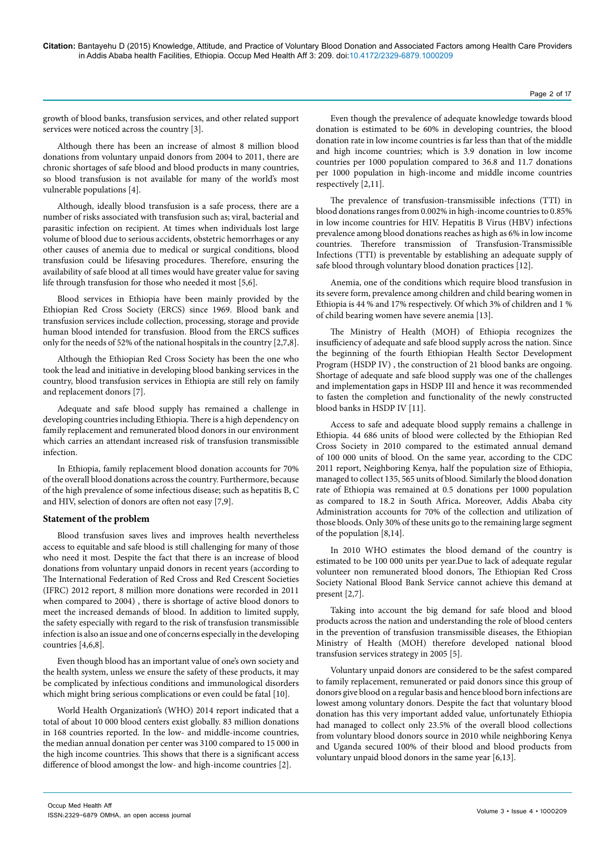Page 2 of 17

growth of blood banks, transfusion services, and other related support services were noticed across the country [3].

Although there has been an increase of almost 8 million blood donations from voluntary unpaid donors from 2004 to 2011, there are chronic shortages of safe blood and blood products in many countries, so blood transfusion is not available for many of the world's most vulnerable populations [4].

Although, ideally blood transfusion is a safe process, there are a number of risks associated with transfusion such as; viral, bacterial and parasitic infection on recipient. At times when individuals lost large volume of blood due to serious accidents, obstetric hemorrhages or any other causes of anemia due to medical or surgical conditions, blood transfusion could be lifesaving procedures. Therefore, ensuring the availability of safe blood at all times would have greater value for saving life through transfusion for those who needed it most [5,6].

Blood services in Ethiopia have been mainly provided by the Ethiopian Red Cross Society (ERCS) since 1969. Blood bank and transfusion services include collection, processing, storage and provide human blood intended for transfusion. Blood from the ERCS suffices only for the needs of 52% of the national hospitals in the country [2,7,8].

Although the Ethiopian Red Cross Society has been the one who took the lead and initiative in developing blood banking services in the country, blood transfusion services in Ethiopia are still rely on family and replacement donors [7].

Adequate and safe blood supply has remained a challenge in developing countries including Ethiopia. There is a high dependency on family replacement and remunerated blood donors in our environment which carries an attendant increased risk of transfusion transmissible infection.

In Ethiopia, family replacement blood donation accounts for 70% of the overall blood donations across the country. Furthermore, because of the high prevalence of some infectious disease; such as hepatitis B, C and HIV, selection of donors are often not easy [7,9].

## **Statement of the problem**

Blood transfusion saves lives and improves health nevertheless access to equitable and safe blood is still challenging for many of those who need it most. Despite the fact that there is an increase of blood donations from voluntary unpaid donors in recent years (according to The International Federation of Red Cross and Red Crescent Societies (IFRC) 2012 report, 8 million more donations were recorded in 2011 when compared to 2004) , there is shortage of active blood donors to meet the increased demands of blood. In addition to limited supply, the safety especially with regard to the risk of transfusion transmissible infection is also an issue and one of concerns especially in the developing countries [4,6,8].

Even though blood has an important value of one's own society and the health system, unless we ensure the safety of these products, it may be complicated by infectious conditions and immunological disorders which might bring serious complications or even could be fatal [10].

World Health Organization's (WHO) 2014 report indicated that a total of about 10 000 blood centers exist globally. 83 million donations in 168 countries reported. In the low- and middle-income countries, the median annual donation per center was 3100 compared to 15 000 in the high income countries. This shows that there is a significant access difference of blood amongst the low- and high-income countries [2].

Even though the prevalence of adequate knowledge towards blood donation is estimated to be 60% in developing countries, the blood donation rate in low income countries is far less than that of the middle and high income countries; which is 3.9 donation in low income countries per 1000 population compared to 36.8 and 11.7 donations per 1000 population in high-income and middle income countries respectively [2,11].

The prevalence of transfusion-transmissible infections (TTI) in blood donations ranges from 0.002% in high-income countries to 0.85% in low income countries for HIV. Hepatitis B Virus (HBV) infections prevalence among blood donations reaches as high as 6% in low income countries. Therefore transmission of Transfusion-Transmissible Infections (TTI) is preventable by establishing an adequate supply of safe blood through voluntary blood donation practices [12].

Anemia, one of the conditions which require blood transfusion in its severe form, prevalence among children and child bearing women in Ethiopia is 44 % and 17% respectively. Of which 3% of children and 1 % of child bearing women have severe anemia [13].

The Ministry of Health (MOH) of Ethiopia recognizes the insufficiency of adequate and safe blood supply across the nation. Since the beginning of the fourth Ethiopian Health Sector Development Program (HSDP IV) , the construction of 21 blood banks are ongoing. Shortage of adequate and safe blood supply was one of the challenges and implementation gaps in HSDP III and hence it was recommended to fasten the completion and functionality of the newly constructed blood banks in HSDP IV [11].

Access to safe and adequate blood supply remains a challenge in Ethiopia. 44 686 units of blood were collected by the Ethiopian Red Cross Society in 2010 compared to the estimated annual demand of 100 000 units of blood. On the same year, according to the CDC 2011 report, Neighboring Kenya, half the population size of Ethiopia, managed to collect 135, 565 units of blood. Similarly the blood donation rate of Ethiopia was remained at 0.5 donations per 1000 population as compared to 18.2 in South Africa**.** Moreover, Addis Ababa city Administration accounts for 70% of the collection and utilization of those bloods. Only 30% of these units go to the remaining large segment of the population [8,14].

In 2010 WHO estimates the blood demand of the country is estimated to be 100 000 units per year.Due to lack of adequate regular volunteer non remunerated blood donors, The Ethiopian Red Cross Society National Blood Bank Service cannot achieve this demand at present [2,7].

Taking into account the big demand for safe blood and blood products across the nation and understanding the role of blood centers in the prevention of transfusion transmissible diseases, the Ethiopian Ministry of Health (MOH) therefore developed national blood transfusion services strategy in 2005 [5].

Voluntary unpaid donors are considered to be the safest compared to family replacement, remunerated or paid donors since this group of donors give blood on a regular basis and hence blood born infections are lowest among voluntary donors. Despite the fact that voluntary blood donation has this very important added value, unfortunately Ethiopia had managed to collect only 23.5% of the overall blood collections from voluntary blood donors source in 2010 while neighboring Kenya and Uganda secured 100% of their blood and blood products from voluntary unpaid blood donors in the same year [6,13].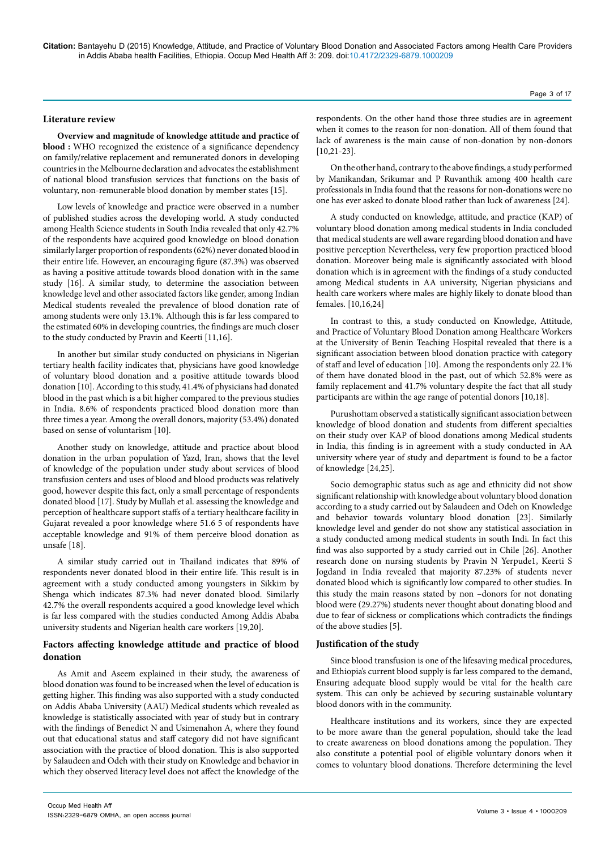#### **Literature review**

**Overview and magnitude of knowledge attitude and practice of blood :** WHO recognized the existence of a significance dependency on family/relative replacement and remunerated donors in developing countries in the Melbourne declaration and advocates the establishment of national blood transfusion services that functions on the basis of voluntary, non-remunerable blood donation by member states [15].

Low levels of knowledge and practice were observed in a number of published studies across the developing world. A study conducted among Health Science students in South India revealed that only 42.7% of the respondents have acquired good knowledge on blood donation similarly larger proportion of respondents (62%) never donated blood in their entire life. However, an encouraging figure (87.3%) was observed as having a positive attitude towards blood donation with in the same study [16]. A similar study, to determine the association between knowledge level and other associated factors like gender, among Indian Medical students revealed the prevalence of blood donation rate of among students were only 13.1%. Although this is far less compared to the estimated 60% in developing countries, the findings are much closer to the study conducted by Pravin and Keerti [11,16].

In another but similar study conducted on physicians in Nigerian tertiary health facility indicates that, physicians have good knowledge of voluntary blood donation and a positive attitude towards blood donation [10]. According to this study, 41.4% of physicians had donated blood in the past which is a bit higher compared to the previous studies in India. 8.6% of respondents practiced blood donation more than three times a year. Among the overall donors, majority (53.4%) donated based on sense of voluntarism [10].

Another study on knowledge, attitude and practice about blood donation in the urban population of Yazd, Iran, shows that the level of knowledge of the population under study about services of blood transfusion centers and uses of blood and blood products was relatively good, however despite this fact, only a small percentage of respondents donated blood [17]. Study by Mullah et al. assessing the knowledge and perception of healthcare support staffs of a tertiary healthcare facility in Gujarat revealed a poor knowledge where 51.6 5 of respondents have acceptable knowledge and 91% of them perceive blood donation as unsafe [18].

A similar study carried out in Thailand indicates that 89% of respondents never donated blood in their entire life. This result is in agreement with a study conducted among youngsters in Sikkim by Shenga which indicates 87.3% had never donated blood. Similarly 42.7% the overall respondents acquired a good knowledge level which is far less compared with the studies conducted Among Addis Ababa university students and Nigerian health care workers [19,20].

# **Factors affecting knowledge attitude and practice of blood donation**

As Amit and Aseem explained in their study, the awareness of blood donation was found to be increased when the level of education is getting higher. This finding was also supported with a study conducted on Addis Ababa University (AAU) Medical students which revealed as knowledge is statistically associated with year of study but in contrary with the findings of Benedict N and Usimenahon A, where they found out that educational status and staff category did not have significant association with the practice of blood donation. This is also supported by Salaudeen and Odeh with their study on Knowledge and behavior in which they observed literacy level does not affect the knowledge of the

respondents. On the other hand those three studies are in agreement when it comes to the reason for non-donation. All of them found that lack of awareness is the main cause of non-donation by non-donors [10,21-23].

On the other hand, contrary to the above findings, a study performed by Manikandan, Srikumar and P Ruvanthik among 400 health care professionals in India found that the reasons for non-donations were no one has ever asked to donate blood rather than luck of awareness [24].

A study conducted on knowledge, attitude, and practice (KAP) of voluntary blood donation among medical students in India concluded that medical students are well aware regarding blood donation and have positive perception Nevertheless, very few proportion practiced blood donation. Moreover being male is significantly associated with blood donation which is in agreement with the findings of a study conducted among Medical students in AA university, Nigerian physicians and health care workers where males are highly likely to donate blood than females. [10,16,24]

In contrast to this, a study conducted on Knowledge, Attitude, and Practice of Voluntary Blood Donation among Healthcare Workers at the University of Benin Teaching Hospital revealed that there is a significant association between blood donation practice with category of staff and level of education [10]. Among the respondents only 22.1% of them have donated blood in the past, out of which 52.8% were as family replacement and 41.7% voluntary despite the fact that all study participants are within the age range of potential donors [10,18].

Purushottam observed a statistically significant association between knowledge of blood donation and students from different specialties on their study over KAP of blood donations among Medical students in India, this finding is in agreement with a study conducted in AA university where year of study and department is found to be a factor of knowledge [24,25].

Socio demographic status such as age and ethnicity did not show significant relationship with knowledge about voluntary blood donation according to a study carried out by Salaudeen and Odeh on Knowledge and behavior towards voluntary blood donation [23]. Similarly knowledge level and gender do not show any statistical association in a study conducted among medical students in south Indi. In fact this find was also supported by a study carried out in Chile [26]. Another research done on nursing students by Pravin N Yerpude1, Keerti S Jogdand in India revealed that majority 87.23% of students never donated blood which is significantly low compared to other studies. In this study the main reasons stated by non –donors for not donating blood were (29.27%) students never thought about donating blood and due to fear of sickness or complications which contradicts the findings of the above studies [5].

#### **Justification of the study**

Since blood transfusion is one of the lifesaving medical procedures, and Ethiopia's current blood supply is far less compared to the demand, Ensuring adequate blood supply would be vital for the health care system. This can only be achieved by securing sustainable voluntary blood donors with in the community.

Healthcare institutions and its workers, since they are expected to be more aware than the general population, should take the lead to create awareness on blood donations among the population. They also constitute a potential pool of eligible voluntary donors when it comes to voluntary blood donations. Therefore determining the level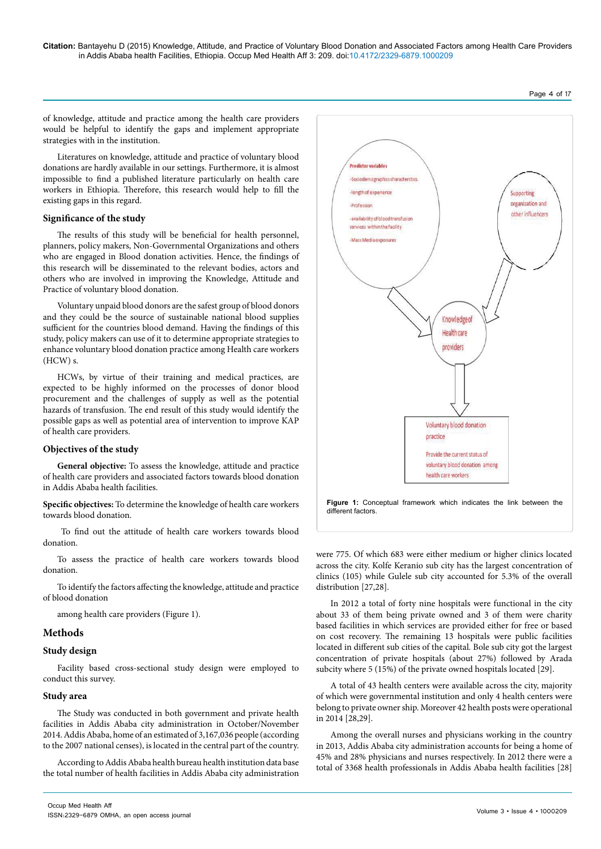of knowledge, attitude and practice among the health care providers would be helpful to identify the gaps and implement appropriate strategies with in the institution.

Literatures on knowledge, attitude and practice of voluntary blood donations are hardly available in our settings. Furthermore, it is almost impossible to find a published literature particularly on health care workers in Ethiopia. Therefore, this research would help to fill the existing gaps in this regard.

## **Significance of the study**

The results of this study will be beneficial for health personnel, planners, policy makers, Non-Governmental Organizations and others who are engaged in Blood donation activities. Hence, the findings of this research will be disseminated to the relevant bodies, actors and others who are involved in improving the Knowledge, Attitude and Practice of voluntary blood donation.

Voluntary unpaid blood donors are the safest group of blood donors and they could be the source of sustainable national blood supplies sufficient for the countries blood demand. Having the findings of this study, policy makers can use of it to determine appropriate strategies to enhance voluntary blood donation practice among Health care workers (HCW) s.

HCWs, by virtue of their training and medical practices, are expected to be highly informed on the processes of donor blood procurement and the challenges of supply as well as the potential hazards of transfusion. The end result of this study would identify the possible gaps as well as potential area of intervention to improve KAP of health care providers.

## **Objectives of the study**

**General objective:** To assess the knowledge, attitude and practice of health care providers and associated factors towards blood donation in Addis Ababa health facilities.

**Specific objectives:** To determine the knowledge of health care workers towards blood donation.

 To find out the attitude of health care workers towards blood donation.

To assess the practice of health care workers towards blood donation.

To identify the factors affecting the knowledge, attitude and practice of blood donation

among health care providers (Figure 1).

## **Methods**

#### **Study design**

Facility based cross-sectional study design were employed to conduct this survey.

#### **Study area**

The Study was conducted in both government and private health facilities in Addis Ababa city administration in October/November 2014. Addis Ababa, home of an estimated of 3,167,036 people (according to the 2007 national censes), is located in the central part of the country.

According to Addis Ababa health bureau health institution data base the total number of health facilities in Addis Ababa city administration



were 775. Of which 683 were either medium or higher clinics located across the city. Kolfe Keranio sub city has the largest concentration of clinics (105) while Gulele sub city accounted for 5.3% of the overall distribution [27,28].

In 2012 a total of forty nine hospitals were functional in the city about 33 of them being private owned and 3 of them were charity based facilities in which services are provided either for free or based on cost recovery. The remaining 13 hospitals were public facilities located in different sub cities of the capital. Bole sub city got the largest concentration of private hospitals (about 27%) followed by Arada subcity where 5 (15%) of the private owned hospitals located [29].

A total of 43 health centers were available across the city, majority of which were governmental institution and only 4 health centers were belong to private owner ship. Moreover 42 health posts were operational in 2014 [28,29].

Among the overall nurses and physicians working in the country in 2013, Addis Ababa city administration accounts for being a home of 45% and 28% physicians and nurses respectively. In 2012 there were a total of 3368 health professionals in Addis Ababa health facilities [28]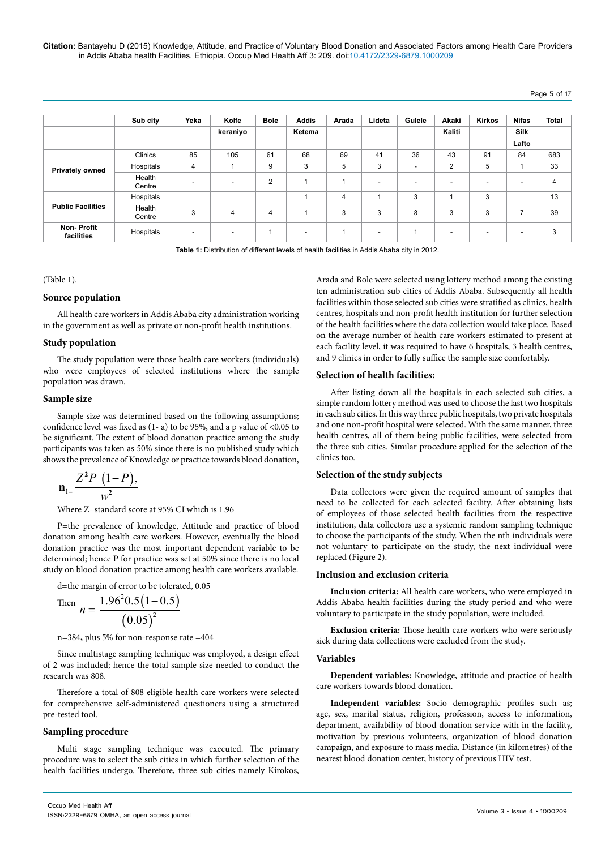## Page 5 of 17

|                                 | Sub city         | Yeka                     | Kolfe    | <b>Bole</b> | <b>Addis</b> | Arada | Lideta                   | Gulele                   | Akaki          | <b>Kirkos</b> | <b>Nifas</b> | <b>Total</b> |
|---------------------------------|------------------|--------------------------|----------|-------------|--------------|-------|--------------------------|--------------------------|----------------|---------------|--------------|--------------|
|                                 |                  |                          | keraniyo |             | Ketema       |       |                          |                          | Kaliti         |               | <b>Silk</b>  |              |
|                                 |                  |                          |          |             |              |       |                          |                          |                |               | Lafto        |              |
|                                 | Clinics          | 85                       | 105      | 61          | 68           | 69    | 41                       | 36                       | 43             | 91            | 84           | 683          |
| <b>Privately owned</b>          | Hospitals        | 4                        |          | 9           | 3            | 5     | 3                        | $\overline{\phantom{a}}$ | $\overline{2}$ | 5             |              | 33           |
|                                 | Health<br>Centre | -                        | ۰        | 2           |              |       | $\overline{\phantom{a}}$ | $\overline{\phantom{a}}$ | ۰              |               |              | 4            |
|                                 | Hospitals        |                          |          |             |              | 4     |                          | 3                        |                | 3             |              | 13           |
| <b>Public Facilities</b>        | Health<br>Centre | 3                        | 4        | 4           |              | 3     | 3                        | 8                        | 3              | 3             | 7            | 39           |
| <b>Non-Profit</b><br>facilities | Hospitals        | $\overline{\phantom{a}}$ | ۰        |             |              |       | $\overline{\phantom{a}}$ |                          | ۰              |               |              | 3            |

**Table 1:** Distribution of different levels of health facilities in Addis Ababa city in 2012.

(Table 1).

#### **Source population**

All health care workers in Addis Ababa city administration working in the government as well as private or non-profit health institutions.

# **Study population**

The study population were those health care workers (individuals) who were employees of selected institutions where the sample population was drawn.

#### **Sample size**

Sample size was determined based on the following assumptions; confidence level was fixed as (1- a) to be 95%, and a p value of <0.05 to be significant. The extent of blood donation practice among the study participants was taken as 50% since there is no published study which shows the prevalence of Knowledge or practice towards blood donation,

$$
\mathbf{n}_{1} = \frac{Z^2 P (1-P)}{w^2}.
$$

Where Z=standard score at 95% CI which is 1.96

P=the prevalence of knowledge, Attitude and practice of blood donation among health care workers. However, eventually the blood donation practice was the most important dependent variable to be determined; hence P for practice was set at 50% since there is no local study on blood donation practice among health care workers available.

d=the margin of error to be tolerated, 0.05

Then 
$$
n = \frac{1.96^2 0.5 (1 - 0.5)}{(0.05)^2}
$$

n=384**,** plus 5% for non-response rate =404

Since multistage sampling technique was employed, a design effect of 2 was included; hence the total sample size needed to conduct the research was 808.

Therefore a total of 808 eligible health care workers were selected for comprehensive self-administered questioners using a structured pre-tested tool.

## **Sampling procedure**

Multi stage sampling technique was executed. The primary procedure was to select the sub cities in which further selection of the health facilities undergo. Therefore, three sub cities namely Kirokos, Arada and Bole were selected using lottery method among the existing ten administration sub cities of Addis Ababa. Subsequently all health facilities within those selected sub cities were stratified as clinics, health centres, hospitals and non-profit health institution for further selection of the health facilities where the data collection would take place. Based on the average number of health care workers estimated to present at each facility level, it was required to have 6 hospitals, 3 health centres, and 9 clinics in order to fully suffice the sample size comfortably.

#### **Selection of health facilities:**

After listing down all the hospitals in each selected sub cities, a simple random lottery method was used to choose the last two hospitals in each sub cities. In this way three public hospitals, two private hospitals and one non-profit hospital were selected. With the same manner, three health centres, all of them being public facilities, were selected from the three sub cities. Similar procedure applied for the selection of the clinics too.

# **Selection of the study subjects**

Data collectors were given the required amount of samples that need to be collected for each selected facility. After obtaining lists of employees of those selected health facilities from the respective institution, data collectors use a systemic random sampling technique to choose the participants of the study. When the nth individuals were not voluntary to participate on the study, the next individual were replaced (Figure 2).

#### **Inclusion and exclusion criteria**

**Inclusion criteria:** All health care workers, who were employed in Addis Ababa health facilities during the study period and who were voluntary to participate in the study population, were included.

**Exclusion criteria:** Those health care workers who were seriously sick during data collections were excluded from the study.

#### **Variables**

**Dependent variables:** Knowledge, attitude and practice of health care workers towards blood donation.

**Independent variables:** Socio demographic profiles such as; age, sex, marital status, religion, profession, access to information, department, availability of blood donation service with in the facility, motivation by previous volunteers, organization of blood donation campaign, and exposure to mass media. Distance (in kilometres) of the nearest blood donation center, history of previous HIV test.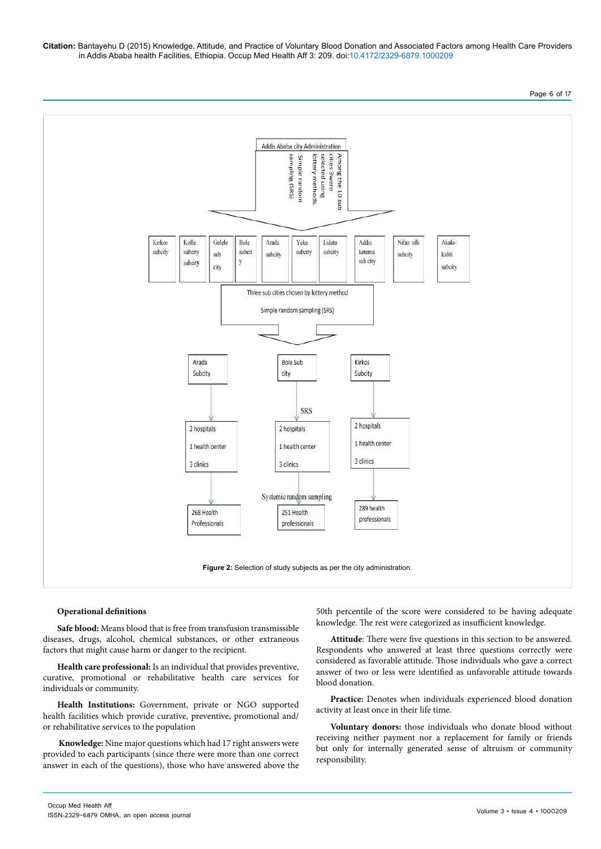Page 6 of 17



## **Operational definitions**

**Safe blood:** Means blood that is free from transfusion transmissible diseases, drugs, alcohol, chemical substances, or other extraneous factors that might cause harm or danger to the recipient.

**Health care professional:** Is an individual that provides preventive, curative, promotional or rehabilitative health care services for individuals or community.

**Health Institutions:** Government, private or NGO supported health facilities which provide curative, preventive, promotional and/ or rehabilitative services to the population

 **Knowledge:** Nine major questions which had 17 right answers were provided to each participants (since there were more than one correct answer in each of the questions), those who have answered above the

50th percentile of the score were considered to be having adequate knowledge. The rest were categorized as insufficient knowledge.

**Attitude**: There were five questions in this section to be answered. Respondents who answered at least three questions correctly were considered as favorable attitude. Those individuals who gave a correct answer of two or less were identified as unfavorable attitude towards blood donation.

**Practice:** Denotes when individuals experienced blood donation activity at least once in their life time.

**Voluntary donors:** those individuals who donate blood without receiving neither payment nor a replacement for family or friends but only for internally generated sense of altruism or community responsibility.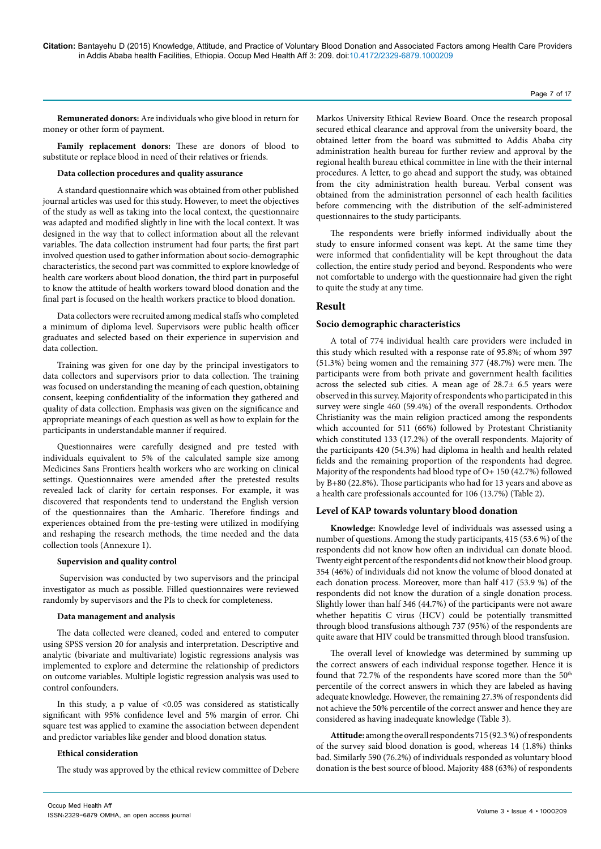**Remunerated donors:** Are individuals who give blood in return for money or other form of payment.

**Family replacement donors:** These are donors of blood to substitute or replace blood in need of their relatives or friends.

#### **Data collection procedures and quality assurance**

A standard questionnaire which was obtained from other published journal articles was used for this study. However, to meet the objectives of the study as well as taking into the local context, the questionnaire was adapted and modified slightly in line with the local context. It was designed in the way that to collect information about all the relevant variables. The data collection instrument had four parts; the first part involved question used to gather information about socio-demographic characteristics, the second part was committed to explore knowledge of health care workers about blood donation, the third part in purposeful to know the attitude of health workers toward blood donation and the final part is focused on the health workers practice to blood donation.

Data collectors were recruited among medical staffs who completed a minimum of diploma level. Supervisors were public health officer graduates and selected based on their experience in supervision and data collection.

Training was given for one day by the principal investigators to data collectors and supervisors prior to data collection. The training was focused on understanding the meaning of each question, obtaining consent, keeping confidentiality of the information they gathered and quality of data collection. Emphasis was given on the significance and appropriate meanings of each question as well as how to explain for the participants in understandable manner if required.

Questionnaires were carefully designed and pre tested with individuals equivalent to 5% of the calculated sample size among Medicines Sans Frontiers health workers who are working on clinical settings. Questionnaires were amended after the pretested results revealed lack of clarity for certain responses. For example, it was discovered that respondents tend to understand the English version of the questionnaires than the Amharic. Therefore findings and experiences obtained from the pre-testing were utilized in modifying and reshaping the research methods, the time needed and the data collection tools (Annexure 1).

#### **Supervision and quality control**

Supervision was conducted by two supervisors and the principal investigator as much as possible. Filled questionnaires were reviewed randomly by supervisors and the PIs to check for completeness.

#### **Data management and analysis**

The data collected were cleaned, coded and entered to computer using SPSS version 20 for analysis and interpretation. Descriptive and analytic (bivariate and multivariate) logistic regressions analysis was implemented to explore and determine the relationship of predictors on outcome variables. Multiple logistic regression analysis was used to control confounders.

In this study, a p value of  $< 0.05$  was considered as statistically significant with 95% confidence level and 5% margin of error. Chi square test was applied to examine the association between dependent and predictor variables like gender and blood donation status.

## **Ethical consideration**

The study was approved by the ethical review committee of Debere

Markos University Ethical Review Board. Once the research proposal secured ethical clearance and approval from the university board, the obtained letter from the board was submitted to Addis Ababa city administration health bureau for further review and approval by the regional health bureau ethical committee in line with the their internal procedures. A letter, to go ahead and support the study, was obtained from the city administration health bureau. Verbal consent was obtained from the administration personnel of each health facilities before commencing with the distribution of the self-administered questionnaires to the study participants.

The respondents were briefly informed individually about the study to ensure informed consent was kept. At the same time they were informed that confidentiality will be kept throughout the data collection, the entire study period and beyond. Respondents who were not comfortable to undergo with the questionnaire had given the right to quite the study at any time.

#### **Result**

#### **Socio demographic characteristics**

A total of 774 individual health care providers were included in this study which resulted with a response rate of 95.8%; of whom 397 (51.3%) being women and the remaining 377 (48.7%) were men. The participants were from both private and government health facilities across the selected sub cities. A mean age of 28.7± 6.5 years were observed in this survey. Majority of respondents who participated in this survey were single 460 (59.4%) of the overall respondents. Orthodox Christianity was the main religion practiced among the respondents which accounted for 511 (66%) followed by Protestant Christianity which constituted 133 (17.2%) of the overall respondents. Majority of the participants 420 (54.3%) had diploma in health and health related fields and the remaining proportion of the respondents had degree. Majority of the respondents had blood type of O+ 150 (42.7%) followed by B+80 (22.8%). Those participants who had for 13 years and above as a health care professionals accounted for 106 (13.7%) (Table 2).

## **Level of KAP towards voluntary blood donation**

**Knowledge:** Knowledge level of individuals was assessed using a number of questions. Among the study participants, 415 (53.6 %) of the respondents did not know how often an individual can donate blood. Twenty eight percent of the respondents did not know their blood group. 354 (46%) of individuals did not know the volume of blood donated at each donation process. Moreover, more than half 417 (53.9 %) of the respondents did not know the duration of a single donation process. Slightly lower than half 346 (44.7%) of the participants were not aware whether hepatitis C virus (HCV) could be potentially transmitted through blood transfusions although 737 (95%) of the respondents are quite aware that HIV could be transmitted through blood transfusion.

The overall level of knowledge was determined by summing up the correct answers of each individual response together. Hence it is found that 72.7% of the respondents have scored more than the 50<sup>th</sup> percentile of the correct answers in which they are labeled as having adequate knowledge. However, the remaining 27.3% of respondents did not achieve the 50% percentile of the correct answer and hence they are considered as having inadequate knowledge (Table 3).

**Attitude:** among the overall respondents 715 (92.3 %) of respondents of the survey said blood donation is good, whereas 14 (1.8%) thinks bad. Similarly 590 (76.2%) of individuals responded as voluntary blood donation is the best source of blood. Majority 488 (63%) of respondents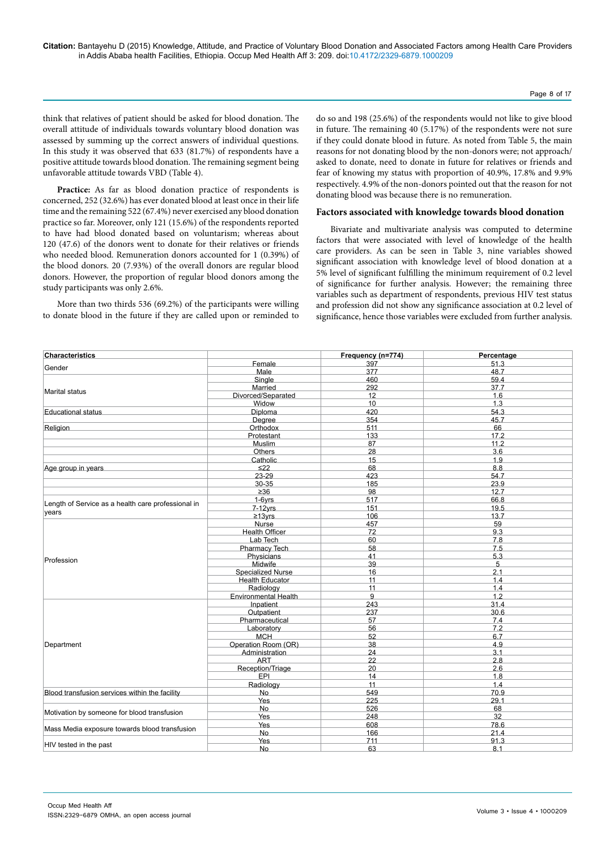think that relatives of patient should be asked for blood donation. The overall attitude of individuals towards voluntary blood donation was assessed by summing up the correct answers of individual questions. In this study it was observed that 633 (81.7%) of respondents have a positive attitude towards blood donation. The remaining segment being unfavorable attitude towards VBD (Table 4).

Practice: As far as blood donation practice of respondents is concerned, 252 (32.6%) has ever donated blood at least once in their life time and the remaining 522 (67.4%) never exercised any blood donation practice so far. Moreover, only 121 (15.6%) of the respondents reported to have had blood donated based on voluntarism; whereas about 120 (47.6) of the donors went to donate for their relatives or friends who needed blood. Remuneration donors accounted for 1 (0.39%) of the blood donors. 20 (7.93%) of the overall donors are regular blood donors. However, the proportion of regular blood donors among the study participants was only 2.6%.

More than two thirds 536 (69.2%) of the participants were willing to donate blood in the future if they are called upon or reminded to

do so and 198 (25.6%) of the respondents would not like to give blood in future. The remaining 40 (5.17%) of the respondents were not sure if they could donate blood in future. As noted from Table 5, the main reasons for not donating blood by the non-donors were; not approach/ asked to donate, need to donate in future for relatives or friends and fear of knowing my status with proportion of 40.9%, 17.8% and 9.9% respectively. 4.9% of the non-donors pointed out that the reason for not donating blood was because there is no remuneration.

#### **Factors associated with knowledge towards blood donation**

Bivariate and multivariate analysis was computed to determine factors that were associated with level of knowledge of the health care providers. As can be seen in Table 3, nine variables showed significant association with knowledge level of blood donation at a 5% level of significant fulfilling the minimum requirement of 0.2 level of significance for further analysis. However; the remaining three variables such as department of respondents, previous HIV test status and profession did not show any significance association at 0.2 level of significance, hence those variables were excluded from further analysis.

| <b>Characteristics</b>                             |                             | Frequency (n=774) | Percentage      |
|----------------------------------------------------|-----------------------------|-------------------|-----------------|
| Gender                                             | Female                      | 397               | 51.3            |
|                                                    | Male                        | 377               | 48.7            |
|                                                    | Single                      | 460               | 59.4            |
|                                                    | Married                     | 292               | 37.7            |
| <b>Marital status</b>                              | Divorced/Separated          | 12                | 1.6             |
|                                                    | Widow                       | 10                | 1.3             |
| <b>Educational status</b>                          | <b>Diploma</b>              | 420               | 54.3            |
|                                                    | Degree                      | 354               | 45.7            |
| Religion                                           | Orthodox                    | 511               | 66              |
|                                                    | Protestant                  | 133               | 17.2            |
|                                                    | Muslim                      | 87                | 11.2            |
|                                                    | Others                      | 28                | 3.6             |
|                                                    | Catholic                    | 15                | 1.9             |
| Age group in years                                 | $\leq$ 22                   | 68                | 8.8             |
|                                                    | 23-29                       | 423               | 54.7            |
|                                                    | $30 - 35$                   | 185               | 23.9            |
|                                                    | $\geq 36$                   | 98                | 12.7            |
|                                                    | $1-6yrs$                    | 517               | 66.8            |
| Length of Service as a health care professional in | $7-12$ yrs                  | 151               | 19.5            |
| years                                              | $\geq 13$ yrs               | 106               | 13.7            |
|                                                    | <b>Nurse</b>                | 457               | 59              |
|                                                    | <b>Health Officer</b>       | 72                | 9.3             |
|                                                    | Lab Tech                    | 60                | 7.8             |
|                                                    | <b>Pharmacy Tech</b>        | 58                | 7.5             |
|                                                    | Physicians                  | 41                | 5.3             |
| Profession                                         | Midwife                     | 39                | $5\phantom{.0}$ |
|                                                    | Specialized Nurse           | 16                | 2.1             |
|                                                    | Health Educator             | 11                | 1.4             |
|                                                    | Radiology                   | 11                | 1.4             |
|                                                    | <b>Environmental Health</b> | 9                 | 1.2             |
|                                                    | <b>Inpatient</b>            | 243               | 31.4            |
|                                                    | Outpatient                  | 237               | 30.6            |
|                                                    | Pharmaceutical              | 57                | 7.4             |
|                                                    | Laboratory                  | 56                | 7.2             |
|                                                    | <b>MCH</b>                  | 52                | 6.7             |
| Department                                         | Operation Room (OR)         | 38                | 4.9             |
|                                                    | Administration              | 24                | 3.1             |
|                                                    | <b>ART</b>                  | 22                | 2.8             |
|                                                    | Reception/Triage            | 20                | 2.6             |
|                                                    | EPI                         | 14                | 1.8             |
|                                                    | Radiology                   | 11                | 1.4             |
| Blood transfusion services within the facility     | No                          | 549               | 70.9            |
|                                                    | Yes                         | 225               | 29.1            |
|                                                    | No                          | 526               | 68              |
| Motivation by someone for blood transfusion        | Yes                         | 248               | 32              |
|                                                    | Yes                         | 608               | 78.6            |
| Mass Media exposure towards blood transfusion      | No                          | 166               | 21.4            |
|                                                    | Yes                         | 711               | 91.3            |
| HIV tested in the past                             | No                          | 63                | 8.1             |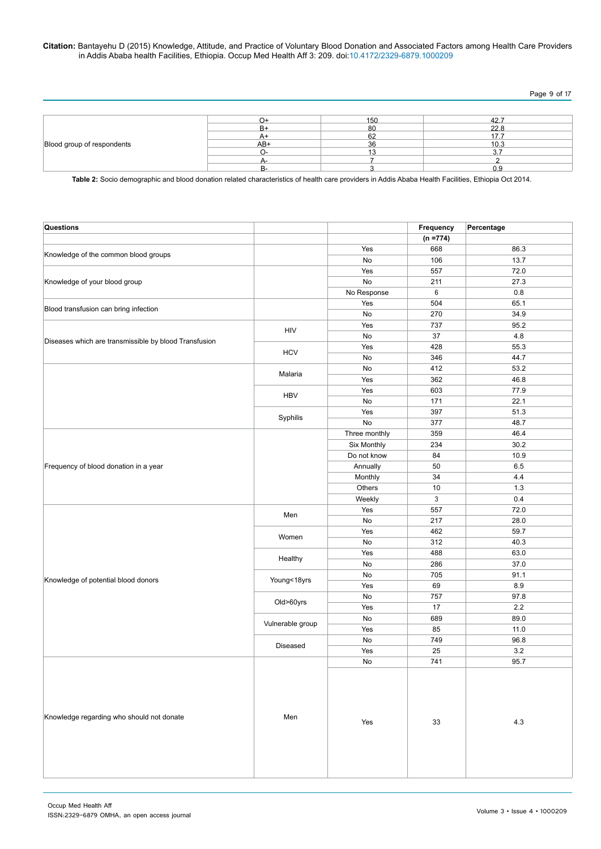Page 9 of 17

|                            | O+    | 150 | 42.7 |
|----------------------------|-------|-----|------|
|                            | B+    | 80  | 22.8 |
|                            |       | -62 | 17.  |
| Blood group of respondents | $AB+$ | 36  | 10.3 |
|                            |       | ы.  |      |
|                            |       |     |      |
|                            | --    |     | 0.9  |

**Table 2:** Socio demographic and blood donation related characteristics of health care providers in Addis Ababa Health Facilities, Ethiopia Oct 2014.

| Questions                                             |                  |               | Frequency   | Percentage |
|-------------------------------------------------------|------------------|---------------|-------------|------------|
|                                                       |                  |               | $(n = 774)$ |            |
|                                                       |                  | Yes           | 668         | 86.3       |
| Knowledge of the common blood groups                  |                  | No            | 106         | 13.7       |
|                                                       |                  | Yes           | 557         | 72.0       |
| Knowledge of your blood group                         |                  | No            | 211         | 27.3       |
|                                                       |                  | No Response   | 6           | $0.8\,$    |
|                                                       |                  | Yes           | 504         | 65.1       |
| Blood transfusion can bring infection                 |                  | No            | 270         | 34.9       |
|                                                       |                  | Yes           | 737         | 95.2       |
|                                                       | <b>HIV</b>       | No            | 37          | 4.8        |
| Diseases which are transmissible by blood Transfusion |                  | Yes           | 428         | 55.3       |
|                                                       | <b>HCV</b>       | No            | 346         | 44.7       |
|                                                       |                  | No            | 412         | 53.2       |
|                                                       | Malaria          | Yes           | 362         | 46.8       |
|                                                       |                  | Yes           | 603         | 77.9       |
|                                                       | <b>HBV</b>       | No            | 171         | 22.1       |
|                                                       |                  | Yes           | 397         | 51.3       |
|                                                       | Syphilis         | No            | 377         | 48.7       |
|                                                       |                  | Three monthly | 359         | 46.4       |
|                                                       |                  | Six Monthly   | 234         | 30.2       |
|                                                       |                  | Do not know   | 84          | 10.9       |
| Frequency of blood donation in a year                 |                  | Annually      | 50          | $6.5\,$    |
|                                                       |                  | Monthly       | 34          | $4.4\,$    |
|                                                       |                  | Others        | 10          | 1.3        |
|                                                       |                  | Weekly        | 3           | 0.4        |
|                                                       |                  | Yes           | 557         | 72.0       |
|                                                       | Men              | No            | 217         | 28.0       |
|                                                       |                  | Yes           | 462         | 59.7       |
|                                                       | Women            | No            | 312         | 40.3       |
|                                                       |                  | Yes           | 488         | 63.0       |
|                                                       | Healthy          | No            | 286         | 37.0       |
|                                                       |                  | No            | 705         | 91.1       |
| Knowledge of potential blood donors                   | Young<18yrs      | Yes           | 69          | 8.9        |
|                                                       |                  | No            | 757         | 97.8       |
|                                                       | Old>60yrs        | Yes           | 17          | $2.2\,$    |
|                                                       |                  | No            | 689         | 89.0       |
|                                                       | Vulnerable group | Yes           | 85          | 11.0       |
|                                                       | Diseased         | No            | 749         | 96.8       |
|                                                       |                  | Yes           | 25          | $3.2\,$    |
|                                                       |                  | No            | 741         | 95.7       |
| Knowledge regarding who should not donate             | Men              | Yes           | 33          | 4.3        |
|                                                       |                  |               |             |            |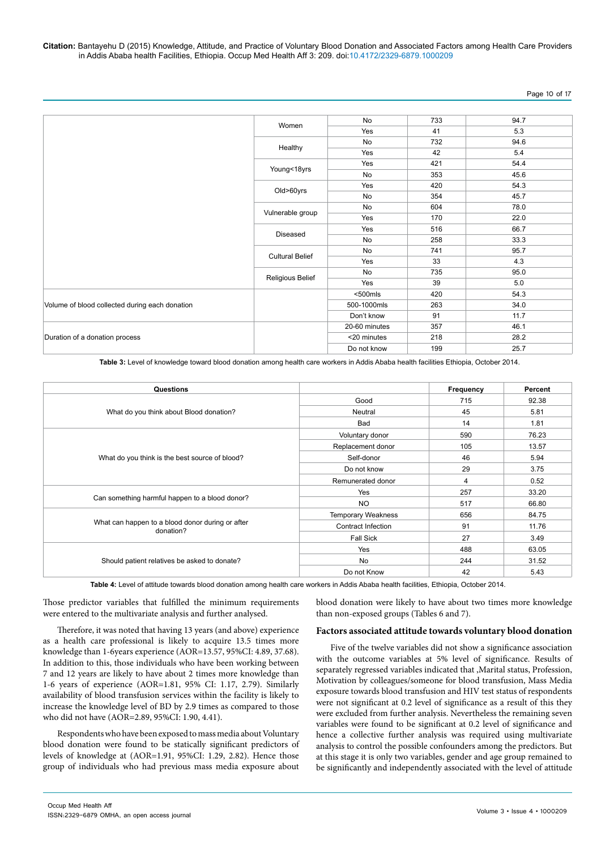# Page 10 of 17

|                                                | Women                   | No            | 733 | 94.7 |
|------------------------------------------------|-------------------------|---------------|-----|------|
|                                                |                         | Yes           | 41  | 5.3  |
|                                                |                         | No            | 732 | 94.6 |
|                                                | Healthy                 | Yes           | 42  | 5.4  |
|                                                | Young<18yrs             | Yes           | 421 | 54.4 |
|                                                |                         | No            | 353 | 45.6 |
|                                                |                         | Yes           | 420 | 54.3 |
|                                                | Old>60yrs               | No            | 354 | 45.7 |
|                                                |                         | No            | 604 | 78.0 |
|                                                | Vulnerable group        | Yes           | 170 | 22.0 |
|                                                |                         | Yes           | 516 | 66.7 |
|                                                | Diseased                | No            | 258 | 33.3 |
|                                                |                         | No            | 741 | 95.7 |
|                                                | <b>Cultural Belief</b>  | Yes           | 33  | 4.3  |
|                                                |                         | No            | 735 | 95.0 |
|                                                | <b>Religious Belief</b> | Yes           | 39  | 5.0  |
|                                                |                         | <500mls       | 420 | 54.3 |
| Volume of blood collected during each donation |                         | 500-1000mls   | 263 | 34.0 |
|                                                |                         | Don't know    | 91  | 11.7 |
|                                                |                         | 20-60 minutes | 357 | 46.1 |
| Duration of a donation process                 |                         | <20 minutes   | 218 | 28.2 |
|                                                |                         | Do not know   | 199 | 25.7 |

**Table 3:** Level of knowledge toward blood donation among health care workers in Addis Ababa health facilities Ethiopia, October 2014.

| Questions                                                     |                           | Frequency | Percent |
|---------------------------------------------------------------|---------------------------|-----------|---------|
|                                                               | Good                      | 715       | 92.38   |
| What do you think about Blood donation?                       | Neutral                   | 45        | 5.81    |
|                                                               | Bad                       | 14        | 1.81    |
|                                                               | Voluntary donor           | 590       | 76.23   |
|                                                               | Replacement donor         | 105       | 13.57   |
| What do you think is the best source of blood?                | Self-donor                | 46        | 5.94    |
|                                                               | Do not know               | 29        | 3.75    |
|                                                               | Remunerated donor         | 4         | 0.52    |
|                                                               | Yes                       | 257       | 33.20   |
| Can something harmful happen to a blood donor?                | <b>NO</b>                 | 517       | 66.80   |
|                                                               | <b>Temporary Weakness</b> | 656       | 84.75   |
| What can happen to a blood donor during or after<br>donation? | <b>Contract Infection</b> | 91        | 11.76   |
|                                                               | <b>Fall Sick</b>          | 27        | 3.49    |
|                                                               | Yes                       | 488       | 63.05   |
| Should patient relatives be asked to donate?                  | No                        | 244       | 31.52   |
|                                                               | Do not Know               | 42        | 5.43    |

**Table 4:** Level of attitude towards blood donation among health care workers in Addis Ababa health facilities, Ethiopia, October 2014.

Those predictor variables that fulfilled the minimum requirements were entered to the multivariate analysis and further analysed.

blood donation were likely to have about two times more knowledge than non-exposed groups (Tables 6 and 7).

Therefore, it was noted that having 13 years (and above) experience as a health care professional is likely to acquire 13.5 times more knowledge than 1-6years experience (AOR=13.57, 95%CI: 4.89, 37.68). In addition to this, those individuals who have been working between 7 and 12 years are likely to have about 2 times more knowledge than 1-6 years of experience (AOR=1.81, 95% CI: 1.17, 2.79). Similarly availability of blood transfusion services within the facility is likely to increase the knowledge level of BD by 2.9 times as compared to those who did not have (AOR=2.89, 95%CI: 1.90, 4.41).

Respondents who have been exposed to mass media about Voluntary blood donation were found to be statically significant predictors of levels of knowledge at (AOR=1.91, 95%CI: 1.29, 2.82). Hence those group of individuals who had previous mass media exposure about

# **Factors associated attitude towards voluntary blood donation**

Five of the twelve variables did not show a significance association with the outcome variables at 5% level of significance. Results of separately regressed variables indicated that ,Marital status, Profession, Motivation by colleagues/someone for blood transfusion, Mass Media exposure towards blood transfusion and HIV test status of respondents were not significant at 0.2 level of significance as a result of this they were excluded from further analysis. Nevertheless the remaining seven variables were found to be significant at 0.2 level of significance and hence a collective further analysis was required using multivariate analysis to control the possible confounders among the predictors. But at this stage it is only two variables, gender and age group remained to be significantly and independently associated with the level of attitude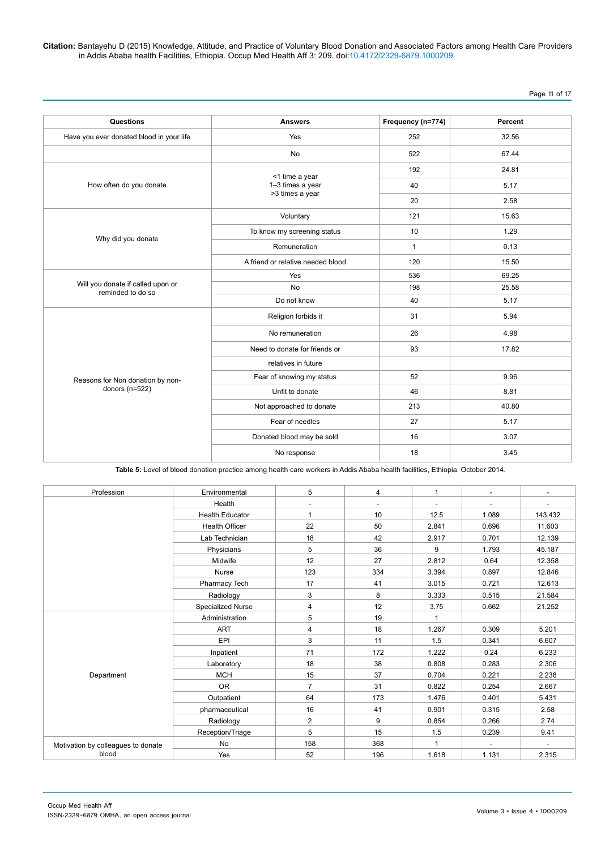Page 11 of 17

| Questions                                              | <b>Answers</b>                    | Frequency (n=774) | Percent |
|--------------------------------------------------------|-----------------------------------|-------------------|---------|
| Have you ever donated blood in your life               | Yes                               | 252               | 32.56   |
|                                                        | No                                | 522               | 67.44   |
|                                                        | <1 time a year                    | 192               | 24.81   |
| How often do you donate                                | 1-3 times a year                  | 40                | 5.17    |
|                                                        | >3 times a year                   | 20                | 2.58    |
|                                                        | Voluntary                         | 121               | 15.63   |
| Why did you donate                                     | To know my screening status       | 10                | 1.29    |
|                                                        | Remuneration                      | $\mathbf{1}$      | 0.13    |
|                                                        | A friend or relative needed blood | 120               | 15.50   |
|                                                        | Yes                               | 536               | 69.25   |
| Will you donate if called upon or<br>reminded to do so | <b>No</b>                         | 198               | 25.58   |
|                                                        | Do not know                       | 40                | 5.17    |
|                                                        | Religion forbids it               | 31                | 5.94    |
|                                                        | No remuneration                   | 26                | 4.98    |
|                                                        | Need to donate for friends or     | 93                | 17.82   |
|                                                        | relatives in future               |                   |         |
| Reasons for Non donation by non-                       | Fear of knowing my status         | 52                | 9.96    |
| donors (n=522)                                         | Unfit to donate                   | 46                | 8.81    |
|                                                        | Not approached to donate          | 213               | 40.80   |
|                                                        | Fear of needles                   | 27                | 5.17    |
|                                                        | Donated blood may be sold         | 16                | 3.07    |
|                                                        | No response                       | 18                | 3.45    |

**Table 5:** Level of blood donation practice among health care workers in Addis Ababa health facilities, Ethiopia, October 2014.

| Profession                         | Environmental            | 5              | 4      | $\mathbf{1}$             | $\overline{\phantom{a}}$ | $\sim$  |
|------------------------------------|--------------------------|----------------|--------|--------------------------|--------------------------|---------|
|                                    | Health                   | ٠              | $\sim$ | $\overline{\phantom{a}}$ | $\overline{\phantom{0}}$ | $\sim$  |
|                                    | <b>Health Educator</b>   | $\mathbf{1}$   | 10     | 12.5                     | 1.089                    | 143.432 |
|                                    | <b>Health Officer</b>    | 22             | 50     | 2.841                    | 0.696                    | 11.603  |
|                                    | Lab Technician           | 18             | 42     | 2.917                    | 0.701                    | 12.139  |
|                                    | Physicians               | 5              | 36     | 9                        | 1.793                    | 45.187  |
|                                    | Midwife                  | 12             | 27     | 2.812                    | 0.64                     | 12.358  |
|                                    | Nurse                    | 123            | 334    | 3.394                    | 0.897                    | 12.846  |
|                                    | Pharmacy Tech            | 17             | 41     | 3.015                    | 0.721                    | 12.613  |
|                                    | Radiology                | 3              | 8      | 3.333                    | 0.515                    | 21.584  |
|                                    | <b>Specialized Nurse</b> | 4              | 12     | 3.75                     | 0.662                    | 21.252  |
|                                    | Administration           | 5              | 19     | $\mathbf 1$              |                          |         |
|                                    | <b>ART</b>               | $\overline{4}$ | 18     | 1.267                    | 0.309                    | 5.201   |
|                                    | EPI                      | 3              | 11     | 1.5                      | 0.341                    | 6.607   |
|                                    | Inpatient                | 71             | 172    | 1.222                    | 0.24                     | 6.233   |
|                                    | Laboratory               | 18             | 38     | 0.808                    | 0.283                    | 2.306   |
| Department                         | <b>MCH</b>               | 15             | 37     | 0.704                    | 0.221                    | 2.238   |
|                                    | <b>OR</b>                | $\overline{7}$ | 31     | 0.822                    | 0.254                    | 2.667   |
|                                    | Outpatient               | 64             | 173    | 1.476                    | 0.401                    | 5.431   |
|                                    | pharmaceutical           | 16             | 41     | 0.901                    | 0.315                    | 2.58    |
|                                    | Radiology                | $\overline{c}$ | 9      | 0.854                    | 0.266                    | 2.74    |
|                                    | Reception/Triage         | 5              | 15     | 1.5                      | 0.239                    | 9.41    |
| Motivation by colleagues to donate | <b>No</b>                | 158            | 368    | 1                        | ÷.                       |         |
| blood                              | Yes                      | 52             | 196    | 1.618                    | 1.131                    | 2.315   |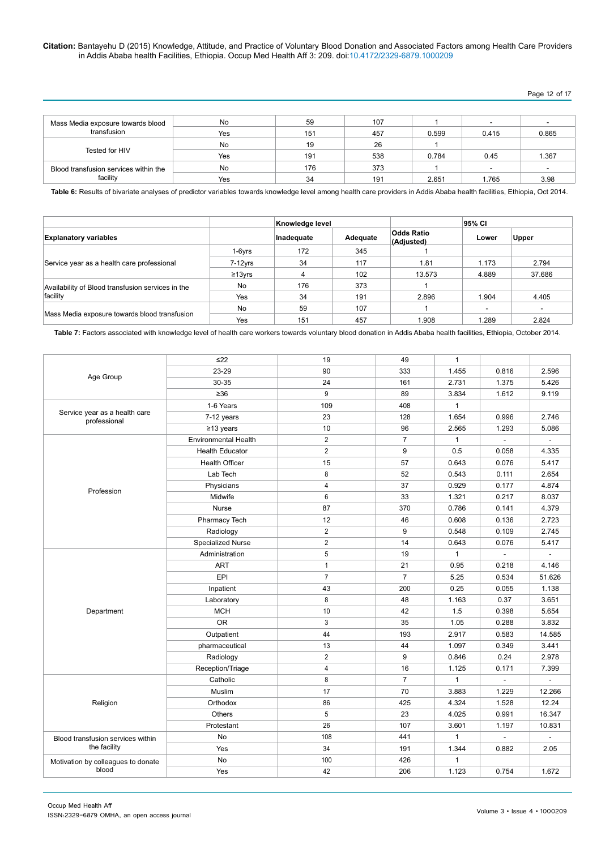Page 12 of 17

| Mass Media exposure towards blood<br>transfusion  | No  | 59  | 107 |       |       |       |
|---------------------------------------------------|-----|-----|-----|-------|-------|-------|
|                                                   | Yes | 151 | 457 | 0.599 | 0.415 | 0.865 |
|                                                   | No  | 19  | 26  |       |       |       |
| Tested for HIV                                    | Yes | 191 | 538 | 0.784 | 0.45  | 1.367 |
| Blood transfusion services within the<br>facility | No  | 176 | 373 |       |       |       |
|                                                   | Yes | 34  | 191 | 2.651 | .765  | 3.98  |

**Table 6:** Results of bivariate analyses of predictor variables towards knowledge level among health care providers in Addis Ababa health facilities, Ethiopia, Oct 2014.

|                                                   |              | Knowledge level |          |                          | 95% CI |                          |
|---------------------------------------------------|--------------|-----------------|----------|--------------------------|--------|--------------------------|
| <b>Explanatory variables</b>                      |              | Inadequate      | Adequate | Odds Ratio<br>(Adjusted) | Lower  | Upper                    |
|                                                   | $1-6$ vrs    | 172             | 345      |                          |        |                          |
| Service year as a health care professional        | $7-12$ $yrs$ | 34              | 117      | 1.81                     | 1.173  | 2.794                    |
|                                                   | ≥13vrs       | 4               | 102      | 13.573                   | 4.889  | 37.686                   |
| Availability of Blood transfusion services in the | No           | 176             | 373      |                          |        |                          |
| facility                                          | Yes          | 34              | 191      | 2.896                    | 1.904  | 4.405                    |
|                                                   | <b>No</b>    | 59              | 107      |                          |        | $\overline{\phantom{a}}$ |
| Mass Media exposure towards blood transfusion     | Yes          | 151             | 457      | 1.908                    | 1.289  | 2.824                    |

Table 7: Factors associated with knowledge level of health care workers towards voluntary blood donation in Addis Ababa health facilities, Ethiopia, October 2014.

|                                               | $≤22$                       | 19             | 49             | $\mathbf{1}$ |                          |        |
|-----------------------------------------------|-----------------------------|----------------|----------------|--------------|--------------------------|--------|
|                                               | 23-29                       | 90             | 333            | 1.455        | 0.816                    | 2.596  |
| Age Group                                     | 30-35                       | 24             | 161            | 2.731        | 1.375                    | 5.426  |
|                                               | $\geq 36$                   | 9              | 89             | 3.834        | 1.612                    | 9.119  |
|                                               | 1-6 Years                   | 109            | 408            | $\mathbf{1}$ |                          |        |
| Service year as a health care<br>professional | 7-12 years                  | 23             | 128            | 1.654        | 0.996                    | 2.746  |
|                                               | $≥13$ years                 | 10             | 96             | 2.565        | 1.293                    | 5.086  |
|                                               | <b>Environmental Health</b> | $\overline{2}$ | $\overline{7}$ | $\mathbf{1}$ | L.                       | L,     |
|                                               | <b>Health Educator</b>      | $\overline{2}$ | 9              | 0.5          | 0.058                    | 4.335  |
|                                               | <b>Health Officer</b>       | 15             | 57             | 0.643        | 0.076                    | 5.417  |
|                                               | Lab Tech                    | 8              | 52             | 0.543        | 0.111                    | 2.654  |
|                                               | Physicians                  | 4              | 37             | 0.929        | 0.177                    | 4.874  |
| Profession                                    | Midwife                     | 6              | 33             | 1.321        | 0.217                    | 8.037  |
|                                               | Nurse                       | 87             | 370            | 0.786        | 0.141                    | 4.379  |
|                                               | Pharmacy Tech               | 12             | 46             | 0.608        | 0.136                    | 2.723  |
|                                               | Radiology                   | $\overline{2}$ | 9              | 0.548        | 0.109                    | 2.745  |
|                                               | <b>Specialized Nurse</b>    | $\overline{2}$ | 14             | 0.643        | 0.076                    | 5.417  |
|                                               | Administration              | 5              | 19             | $\mathbf{1}$ | $\overline{\phantom{a}}$ | L,     |
|                                               | <b>ART</b>                  | 1              | 21             | 0.95         | 0.218                    | 4.146  |
|                                               | EPI                         | $\overline{7}$ | $\overline{7}$ | 5.25         | 0.534                    | 51.626 |
|                                               | Inpatient                   | 43             | 200            | 0.25         | 0.055                    | 1.138  |
|                                               | Laboratory                  | 8              | 48             | 1.163        | 0.37                     | 3.651  |
| Department                                    | <b>MCH</b>                  | 10             | 42             | 1.5          | 0.398                    | 5.654  |
|                                               | <b>OR</b>                   | 3              | 35             | 1.05         | 0.288                    | 3.832  |
|                                               | Outpatient                  | 44             | 193            | 2.917        | 0.583                    | 14.585 |
|                                               | pharmaceutical              | 13             | 44             | 1.097        | 0.349                    | 3.441  |
|                                               | Radiology                   | $\overline{2}$ | 9              | 0.846        | 0.24                     | 2.978  |
|                                               | Reception/Triage            | 4              | 16             | 1.125        | 0.171                    | 7.399  |
|                                               | Catholic                    | 8              | $\overline{7}$ | $\mathbf{1}$ | $\overline{\phantom{a}}$ |        |
|                                               | Muslim                      | 17             | 70             | 3.883        | 1.229                    | 12.266 |
| Religion                                      | Orthodox                    | 86             | 425            | 4.324        | 1.528                    | 12.24  |
|                                               | Others                      | 5              | 23             | 4.025        | 0.991                    | 16.347 |
|                                               | Protestant                  | 26             | 107            | 3.601        | 1.197                    | 10.831 |
| Blood transfusion services within             | No                          | 108            | 441            | $\mathbf{1}$ | L,                       |        |
| the facility                                  | Yes                         | 34             | 191            | 1.344        | 0.882                    | 2.05   |
| Motivation by colleagues to donate            | No                          | 100            | 426            | $\mathbf{1}$ |                          |        |
| blood                                         | Yes                         | 42             | 206            | 1.123        | 0.754                    | 1.672  |
|                                               |                             |                |                |              |                          |        |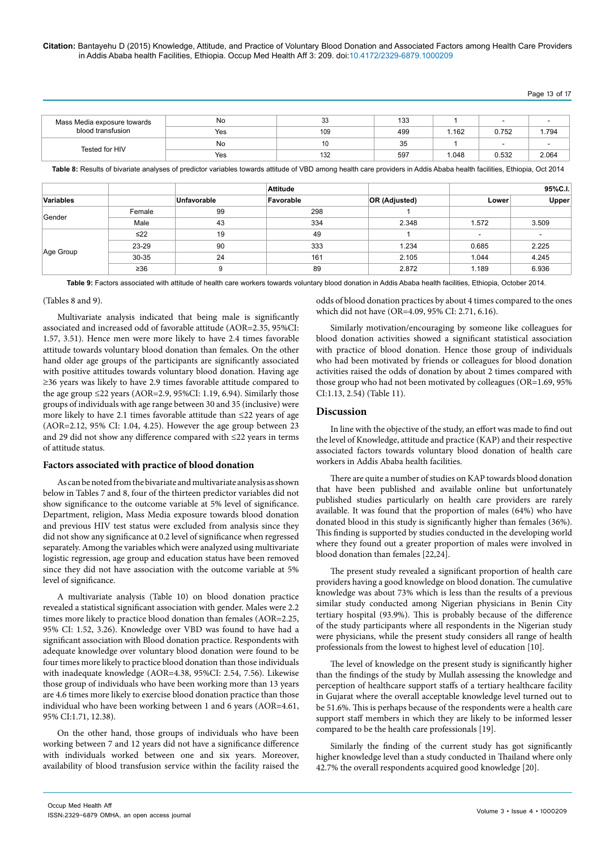Page 13 of 17

| Mass Media exposure towards<br>blood transfusion | No  | ັບປ | 133          |        |       | $\sim$ |
|--------------------------------------------------|-----|-----|--------------|--------|-------|--------|
|                                                  | Yes | 109 | 499          | 1.162  | 0.752 | .794   |
| Tested for HIV                                   | No  |     | $\sim$<br>35 |        | -     |        |
|                                                  | Yes | 132 | 597          | 048. ا | 0.532 | 2.064  |

**Table 8:** Results of bivariate analyses of predictor variables towards attitude of VBD among health care providers in Addis Ababa health facilities, Ethiopia, Oct 2014

|           |           |             | <b>Attitude</b> |               |       | 95%C.I.                  |
|-----------|-----------|-------------|-----------------|---------------|-------|--------------------------|
| Variables |           | Unfavorable | Favorable       | OR (Adjusted) | Lower | Upper                    |
| Gender    | Female    | 99          | 298             |               |       |                          |
|           | Male      | 43          | 334             | 2.348         | 1.572 | 3.509                    |
|           | $\leq$ 22 | 19          | 49              |               |       | $\overline{\phantom{0}}$ |
|           | 23-29     | 90          | 333             | 1.234         | 0.685 | 2.225                    |
| Age Group | $30 - 35$ | 24          | 161             | 2.105         | 1.044 | 4.245                    |
|           | $\geq 36$ |             | 89              | 2.872         | 1.189 | 6.936                    |

**Table 9:** Factors associated with attitude of health care workers towards voluntary blood donation in Addis Ababa health facilities, Ethiopia, October 2014.

## (Tables 8 and 9).

Multivariate analysis indicated that being male is significantly associated and increased odd of favorable attitude (AOR=2.35, 95%CI: 1.57, 3.51). Hence men were more likely to have 2.4 times favorable attitude towards voluntary blood donation than females. On the other hand older age groups of the participants are significantly associated with positive attitudes towards voluntary blood donation. Having age ≥36 years was likely to have 2.9 times favorable attitude compared to the age group  $\leq$ 22 years (AOR=2.9, 95%CI: 1.19, 6.94). Similarly those groups of individuals with age range between 30 and 35 (inclusive) were more likely to have 2.1 times favorable attitude than  $\leq$ 22 years of age (AOR=2.12, 95% CI: 1.04, 4.25). However the age group between 23 and 29 did not show any difference compared with ≤22 years in terms of attitude status.

## **Factors associated with practice of blood donation**

As can be noted from the bivariate and multivariate analysis as shown below in Tables 7 and 8, four of the thirteen predictor variables did not show significance to the outcome variable at 5% level of significance. Department, religion, Mass Media exposure towards blood donation and previous HIV test status were excluded from analysis since they did not show any significance at 0.2 level of significance when regressed separately. Among the variables which were analyzed using multivariate logistic regression, age group and education status have been removed since they did not have association with the outcome variable at 5% level of significance.

A multivariate analysis (Table 10) on blood donation practice revealed a statistical significant association with gender. Males were 2.2 times more likely to practice blood donation than females (AOR=2.25, 95% CI: 1.52, 3.26). Knowledge over VBD was found to have had a significant association with Blood donation practice. Respondents with adequate knowledge over voluntary blood donation were found to be four times more likely to practice blood donation than those individuals with inadequate knowledge (AOR=4.38, 95%CI: 2.54, 7.56). Likewise those group of individuals who have been working more than 13 years are 4.6 times more likely to exercise blood donation practice than those individual who have been working between 1 and 6 years (AOR=4.61, 95% CI:1.71, 12.38).

On the other hand, those groups of individuals who have been working between 7 and 12 years did not have a significance difference with individuals worked between one and six years. Moreover, availability of blood transfusion service within the facility raised the odds of blood donation practices by about 4 times compared to the ones which did not have (OR=4.09, 95% CI: 2.71, 6.16).

Similarly motivation/encouraging by someone like colleagues for blood donation activities showed a significant statistical association with practice of blood donation. Hence those group of individuals who had been motivated by friends or colleagues for blood donation activities raised the odds of donation by about 2 times compared with those group who had not been motivated by colleagues (OR=1.69, 95% CI:1.13, 2.54) (Table 11).

# **Discussion**

In line with the objective of the study, an effort was made to find out the level of Knowledge, attitude and practice (KAP) and their respective associated factors towards voluntary blood donation of health care workers in Addis Ababa health facilities.

There are quite a number of studies on KAP towards blood donation that have been published and available online but unfortunately published studies particularly on health care providers are rarely available. It was found that the proportion of males (64%) who have donated blood in this study is significantly higher than females (36%). This finding is supported by studies conducted in the developing world where they found out a greater proportion of males were involved in blood donation than females [22,24].

The present study revealed a significant proportion of health care providers having a good knowledge on blood donation. The cumulative knowledge was about 73% which is less than the results of a previous similar study conducted among Nigerian physicians in Benin City tertiary hospital (93.9%). This is probably because of the difference of the study participants where all respondents in the Nigerian study were physicians, while the present study considers all range of health professionals from the lowest to highest level of education [10].

The level of knowledge on the present study is significantly higher than the findings of the study by Mullah assessing the knowledge and perception of healthcare support staffs of a tertiary healthcare facility in Gujarat where the overall acceptable knowledge level turned out to be 51.6%. This is perhaps because of the respondents were a health care support staff members in which they are likely to be informed lesser compared to be the health care professionals [19].

Similarly the finding of the current study has got significantly higher knowledge level than a study conducted in Thailand where only 42.7% the overall respondents acquired good knowledge [20].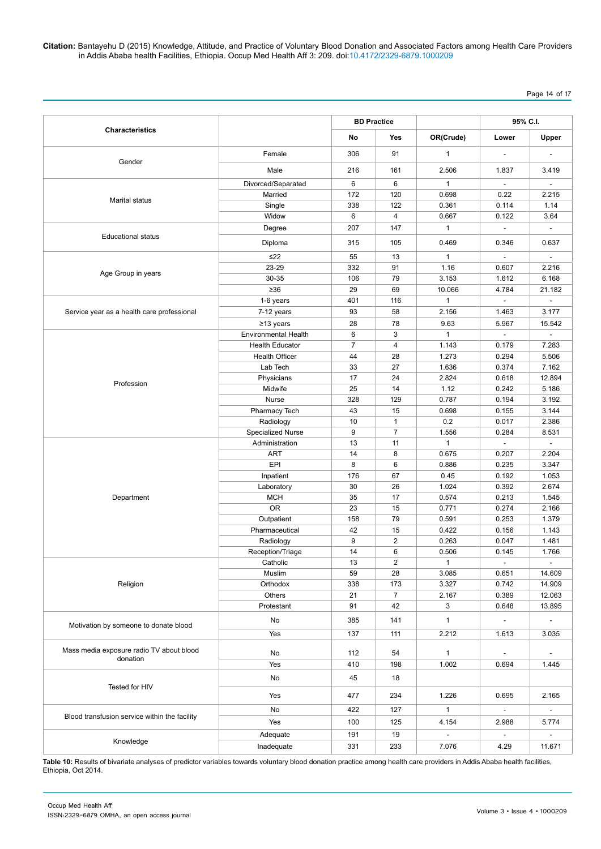Page 14 of 17

|                                               |                                       | <b>BD Practice</b> |                                  |                          | 95% C.I.                 |                          |
|-----------------------------------------------|---------------------------------------|--------------------|----------------------------------|--------------------------|--------------------------|--------------------------|
| <b>Characteristics</b>                        |                                       | No                 | Yes                              | OR(Crude)                | Lower                    | Upper                    |
| Gender                                        | Female                                | 306                | 91                               | $\mathbf{1}$             |                          |                          |
|                                               | Male                                  | 216                | 161                              | 2.506                    | 1.837                    | 3.419                    |
|                                               | Divorced/Separated                    | 6                  | 6                                | $\mathbf{1}$             | $\blacksquare$           | $\overline{\phantom{a}}$ |
|                                               | Married                               | 172                | 120                              | 0.698                    | 0.22                     | 2.215                    |
| Marital status                                | Single                                | 338                | 122                              | 0.361                    | 0.114                    | 1.14                     |
|                                               | Widow                                 | 6                  | 4                                | 0.667                    | 0.122                    | 3.64                     |
|                                               | Degree                                | 207                | 147                              | $\mathbf{1}$             | $\overline{a}$           | $\overline{\phantom{a}}$ |
| <b>Educational status</b>                     | Diploma                               | 315                | 105                              | 0.469                    | 0.346                    | 0.637                    |
|                                               | $\leq$ 22                             | 55                 | 13                               | $\mathbf{1}$             | $\blacksquare$           | $\sim$                   |
| Age Group in years                            | 23-29                                 | 332                | 91                               | 1.16                     | 0.607                    | 2.216                    |
|                                               | 30-35                                 | 106                | 79                               | 3.153                    | 1.612                    | 6.168                    |
|                                               | $\geq 36$                             | 29                 | 69                               | 10.066                   | 4.784                    | 21.182                   |
|                                               | 1-6 years                             | 401                | 116                              | $\mathbf{1}$             |                          |                          |
| Service year as a health care professional    | 7-12 years                            | 93                 | 58                               | 2.156                    | 1.463                    | 3.177                    |
|                                               | $≥13$ years                           | 28                 | 78                               | 9.63                     | 5.967                    | 15.542                   |
| Profession                                    | <b>Environmental Health</b>           | 6                  | 3                                | $\mathbf{1}$             | $\overline{\phantom{a}}$ | $\overline{\phantom{a}}$ |
|                                               | <b>Health Educator</b>                | $\overline{7}$     | $\overline{\mathbf{4}}$          | 1.143                    | 0.179                    | 7.283                    |
|                                               | Health Officer                        | 44                 | 28                               | 1.273                    | 0.294                    | 5.506                    |
|                                               | Lab Tech                              | 33                 | 27                               | 1.636                    | 0.374                    | 7.162                    |
|                                               | Physicians                            | 17                 | 24                               | 2.824                    | 0.618                    | 12.894                   |
|                                               | Midwife                               | 25                 | 14                               | 1.12                     | 0.242                    | 5.186                    |
|                                               | Nurse                                 | 328                | 129                              | 0.787                    | 0.194                    | 3.192                    |
|                                               | Pharmacy Tech                         | 43                 | 15                               | 0.698                    | 0.155                    | 3.144<br>2.386           |
|                                               | Radiology<br><b>Specialized Nurse</b> | 10<br>9            | $\mathbf{1}$<br>$\boldsymbol{7}$ | 0.2<br>1.556             | 0.017<br>0.284           | 8.531                    |
|                                               | Administration                        | 13                 | 11                               | $\mathbf{1}$             | $\Box$                   | $\overline{\phantom{a}}$ |
|                                               | <b>ART</b>                            | 14                 | 8                                | 0.675                    | 0.207                    | 2.204                    |
|                                               | EPI                                   | 8                  | 6                                | 0.886                    | 0.235                    | 3.347                    |
|                                               | Inpatient                             | 176                | 67                               | 0.45                     | 0.192                    | 1.053                    |
|                                               | Laboratory                            | 30                 | 26                               | 1.024                    | 0.392                    | 2.674                    |
| Department                                    | <b>MCH</b>                            | 35                 | 17                               | 0.574                    | 0.213                    | 1.545                    |
|                                               | <b>OR</b>                             | 23                 | 15                               | 0.771                    | 0.274                    | 2.166                    |
|                                               | Outpatient                            | 158                | 79                               | 0.591                    | 0.253                    | 1.379                    |
|                                               | Pharmaceutical                        | 42                 | 15                               | 0.422                    | 0.156                    | 1.143                    |
|                                               | Radiology                             | 9                  | $\mathbf{2}$                     | 0.263                    | 0.047                    | 1.481                    |
|                                               | Reception/Triage                      | 14                 | 6                                | 0.506                    | 0.145                    | 1.766                    |
|                                               | Catholic                              | 13                 | $\overline{2}$                   | $\mathbf{1}$             |                          |                          |
|                                               | Muslim                                | 59                 | 28                               | 3.085                    | 0.651                    | 14.609                   |
| Religion                                      | Orthodox                              | 338                | 173                              | 3.327                    | 0.742                    | 14.909                   |
|                                               | Others                                | 21                 | $\overline{7}$                   | 2.167                    | 0.389                    | 12.063                   |
|                                               | Protestant                            | 91                 | 42                               | 3                        | 0.648                    | 13.895                   |
| Motivation by someone to donate blood         | No<br>385<br>141<br>$\mathbf{1}$      |                    |                                  | $\overline{\phantom{a}}$ |                          |                          |
|                                               | Yes                                   | 137                | 111                              | 2.212                    | 1.613                    | 3.035                    |
| Mass media exposure radio TV about blood      | No                                    | 112                | 54                               | $\mathbf{1}$             | $\sim$                   | $\overline{\phantom{a}}$ |
| donation                                      | Yes                                   | 410                | 198                              | 1.002                    | 0.694                    | 1.445                    |
| Tested for HIV                                | No                                    | 45                 | 18                               |                          |                          |                          |
|                                               | Yes                                   | 477                | 234                              | 1.226                    | 0.695                    | 2.165                    |
|                                               | No                                    | 422                | 127                              | $\mathbf{1}$             | $\overline{\phantom{a}}$ | $\overline{\phantom{a}}$ |
| Blood transfusion service within the facility | Yes                                   | 100                | 125                              | 4.154                    | 2.988                    | 5.774                    |
|                                               | Adequate                              | 191                | 19                               | $\overline{\phantom{a}}$ | $\overline{\phantom{a}}$ | $\overline{\phantom{a}}$ |
| Knowledge                                     | Inadequate                            | 331                | 233                              | 7.076                    | 4.29                     | 11.671                   |

**Table 10:** Results of bivariate analyses of predictor variables towards voluntary blood donation practice among health care providers in Addis Ababa health facilities, Ethiopia, Oct 2014.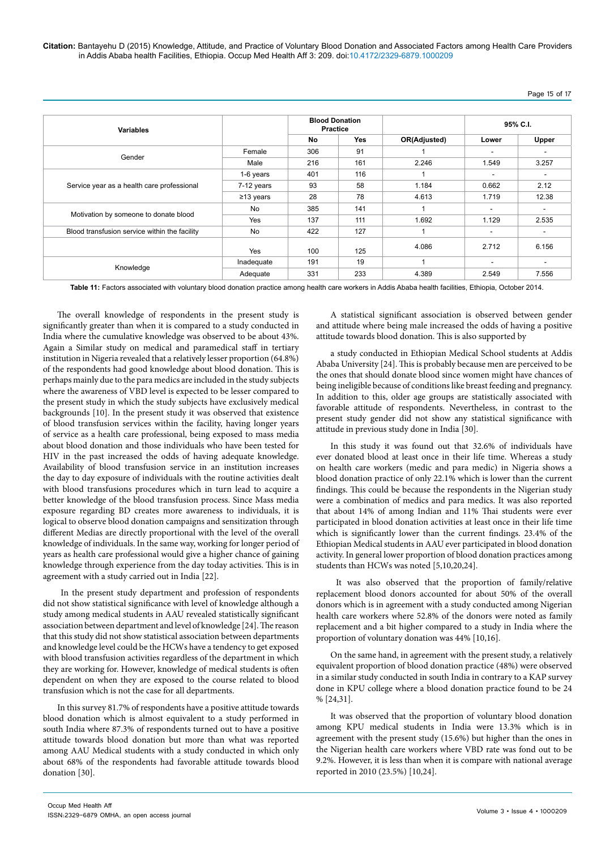| <b>Variables</b>                              |                 | <b>Blood Donation</b><br><b>Practice</b> |            |              | 95% C.I.                 |       |
|-----------------------------------------------|-----------------|------------------------------------------|------------|--------------|--------------------------|-------|
|                                               |                 | No                                       | <b>Yes</b> | OR(Adjusted) | Lower                    | Upper |
|                                               | Female          | 306                                      | 91         |              | ۰                        |       |
| Gender                                        | Male            | 216                                      | 161        | 2.246        | 1.549                    | 3.257 |
|                                               | 1-6 years       | 401                                      | 116        |              | ٠                        | ٠     |
| Service year as a health care professional    | 7-12 years      | 93                                       | 58         | 1.184        | 0.662                    | 2.12  |
|                                               | $\geq$ 13 years | 28                                       | 78         | 4.613        | 1.719                    | 12.38 |
|                                               | No              | 385                                      | 141        |              | $\overline{\phantom{a}}$ |       |
| Motivation by someone to donate blood         | Yes             | 137                                      | 111        | 1.692        | 1.129                    | 2.535 |
| Blood transfusion service within the facility | <b>No</b>       | 422                                      | 127        |              | ۰                        |       |
|                                               | Yes             | 100                                      | 125        | 4.086        | 2.712                    | 6.156 |
|                                               | Inadequate      | 191                                      | 19         |              | ۰                        | ۰.    |
| Knowledge                                     | Adequate        | 331                                      | 233        | 4.389        | 2.549                    | 7.556 |

**Table 11:** Factors associated with voluntary blood donation practice among health care workers in Addis Ababa health facilities, Ethiopia, October 2014.

The overall knowledge of respondents in the present study is significantly greater than when it is compared to a study conducted in India where the cumulative knowledge was observed to be about 43%. Again a Similar study on medical and paramedical staff in tertiary institution in Nigeria revealed that a relatively lesser proportion (64.8%) of the respondents had good knowledge about blood donation. This is perhaps mainly due to the para medics are included in the study subjects where the awareness of VBD level is expected to be lesser compared to the present study in which the study subjects have exclusively medical backgrounds [10]. In the present study it was observed that existence of blood transfusion services within the facility, having longer years of service as a health care professional, being exposed to mass media about blood donation and those individuals who have been tested for HIV in the past increased the odds of having adequate knowledge. Availability of blood transfusion service in an institution increases the day to day exposure of individuals with the routine activities dealt with blood transfusions procedures which in turn lead to acquire a better knowledge of the blood transfusion process. Since Mass media exposure regarding BD creates more awareness to individuals, it is logical to observe blood donation campaigns and sensitization through different Medias are directly proportional with the level of the overall knowledge of individuals. In the same way, working for longer period of years as health care professional would give a higher chance of gaining knowledge through experience from the day today activities. This is in agreement with a study carried out in India [22].

 In the present study department and profession of respondents did not show statistical significance with level of knowledge although a study among medical students in AAU revealed statistically significant association between department and level of knowledge [24]. The reason that this study did not show statistical association between departments and knowledge level could be the HCWs have a tendency to get exposed with blood transfusion activities regardless of the department in which they are working for. However, knowledge of medical students is often dependent on when they are exposed to the course related to blood transfusion which is not the case for all departments.

In this survey 81.7% of respondents have a positive attitude towards blood donation which is almost equivalent to a study performed in south India where 87.3% of respondents turned out to have a positive attitude towards blood donation but more than what was reported among AAU Medical students with a study conducted in which only about 68% of the respondents had favorable attitude towards blood donation [30].

A statistical significant association is observed between gender and attitude where being male increased the odds of having a positive attitude towards blood donation. This is also supported by

a study conducted in Ethiopian Medical School students at Addis Ababa University [24]. This is probably because men are perceived to be the ones that should donate blood since women might have chances of being ineligible because of conditions like breast feeding and pregnancy. In addition to this, older age groups are statistically associated with favorable attitude of respondents. Nevertheless, in contrast to the present study gender did not show any statistical significance with attitude in previous study done in India [30].

In this study it was found out that 32.6% of individuals have ever donated blood at least once in their life time. Whereas a study on health care workers (medic and para medic) in Nigeria shows a blood donation practice of only 22.1% which is lower than the current findings. This could be because the respondents in the Nigerian study were a combination of medics and para medics. It was also reported that about 14% of among Indian and 11% Thai students were ever participated in blood donation activities at least once in their life time which is significantly lower than the current findings. 23.4% of the Ethiopian Medical students in AAU ever participated in blood donation activity. In general lower proportion of blood donation practices among students than HCWs was noted [5,10,20,24].

It was also observed that the proportion of family/relative replacement blood donors accounted for about 50% of the overall donors which is in agreement with a study conducted among Nigerian health care workers where 52.8% of the donors were noted as family replacement and a bit higher compared to a study in India where the proportion of voluntary donation was 44% [10,16].

On the same hand, in agreement with the present study, a relatively equivalent proportion of blood donation practice (48%) were observed in a similar study conducted in south India in contrary to a KAP survey done in KPU college where a blood donation practice found to be 24 % [24,31].

It was observed that the proportion of voluntary blood donation among KPU medical students in India were 13.3% which is in agreement with the present study (15.6%) but higher than the ones in the Nigerian health care workers where VBD rate was fond out to be 9.2%. However, it is less than when it is compare with national average reported in 2010 (23.5%) [10,24].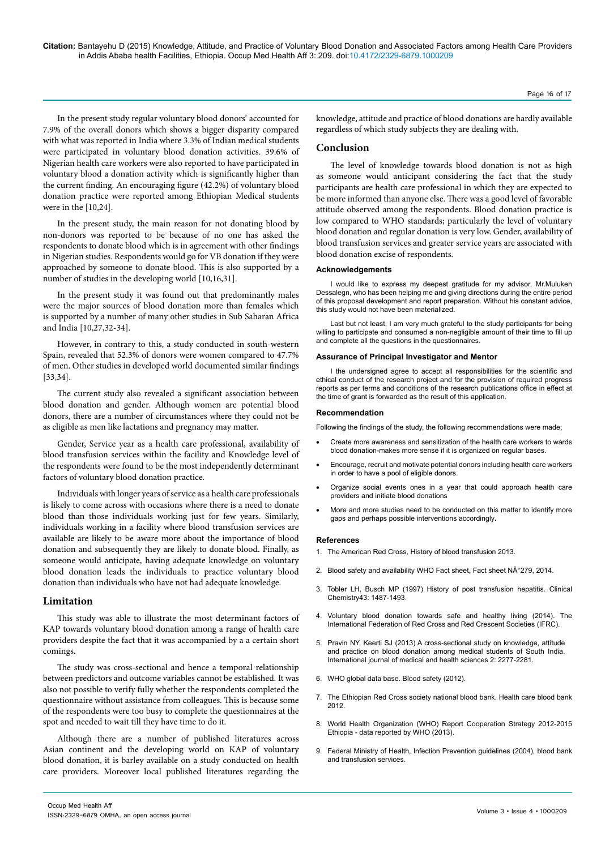In the present study regular voluntary blood donors' accounted for 7.9% of the overall donors which shows a bigger disparity compared with what was reported in India where 3.3% of Indian medical students were participated in voluntary blood donation activities. 39.6% of Nigerian health care workers were also reported to have participated in voluntary blood a donation activity which is significantly higher than the current finding. An encouraging figure (42.2%) of voluntary blood donation practice were reported among Ethiopian Medical students were in the [10,24].

In the present study, the main reason for not donating blood by non-donors was reported to be because of no one has asked the respondents to donate blood which is in agreement with other findings in Nigerian studies. Respondents would go for VB donation if they were approached by someone to donate blood. This is also supported by a number of studies in the developing world [10,16,31].

In the present study it was found out that predominantly males were the major sources of blood donation more than females which is supported by a number of many other studies in Sub Saharan Africa and India [10,27,32-34].

However, in contrary to this, a study conducted in south-western Spain, revealed that 52.3% of donors were women compared to 47.7% of men. Other studies in developed world documented similar findings [33,34].

The current study also revealed a significant association between blood donation and gender. Although women are potential blood donors, there are a number of circumstances where they could not be as eligible as men like lactations and pregnancy may matter.

Gender, Service year as a health care professional, availability of blood transfusion services within the facility and Knowledge level of the respondents were found to be the most independently determinant factors of voluntary blood donation practice.

Individuals with longer years of service as a health care professionals is likely to come across with occasions where there is a need to donate blood than those individuals working just for few years. Similarly, individuals working in a facility where blood transfusion services are available are likely to be aware more about the importance of blood donation and subsequently they are likely to donate blood. Finally, as someone would anticipate, having adequate knowledge on voluntary blood donation leads the individuals to practice voluntary blood donation than individuals who have not had adequate knowledge.

#### **Limitation**

This study was able to illustrate the most determinant factors of KAP towards voluntary blood donation among a range of health care providers despite the fact that it was accompanied by a a certain short comings.

The study was cross-sectional and hence a temporal relationship between predictors and outcome variables cannot be established. It was also not possible to verify fully whether the respondents completed the questionnaire without assistance from colleagues. This is because some of the respondents were too busy to complete the questionnaires at the spot and needed to wait till they have time to do it.

Although there are a number of published literatures across Asian continent and the developing world on KAP of voluntary blood donation, it is barley available on a study conducted on health care providers. Moreover local published literatures regarding the Page 16 of 17

knowledge, attitude and practice of blood donations are hardly available regardless of which study subjects they are dealing with.

# **Conclusion**

The level of knowledge towards blood donation is not as high as someone would anticipant considering the fact that the study participants are health care professional in which they are expected to be more informed than anyone else. There was a good level of favorable attitude observed among the respondents. Blood donation practice is low compared to WHO standards; particularly the level of voluntary blood donation and regular donation is very low. Gender, availability of blood transfusion services and greater service years are associated with blood donation excise of respondents.

#### **Acknowledgements**

I would like to express my deepest gratitude for my advisor, Mr.Muluken Dessalegn, who has been helping me and giving directions during the entire period of this proposal development and report preparation. Without his constant advice, this study would not have been materialized.

Last but not least, I am very much grateful to the study participants for being willing to participate and consumed a non-negligible amount of their time to fill up and complete all the questions in the questionnaires.

#### **Assurance of Principal Investigator and Mentor**

I the undersigned agree to accept all responsibilities for the scientific and ethical conduct of the research project and for the provision of required progress reports as per terms and conditions of the research publications office in effect at the time of grant is forwarded as the result of this application*.*

#### **Recommendation**

Following the findings of the study, the following recommendations were made;

- Create more awareness and sensitization of the health care workers to wards blood donation-makes more sense if it is organized on regular bases.
- Encourage, recruit and motivate potential donors including health care workers in order to have a pool of eligible donors.
- Organize social events ones in a year that could approach health care providers and initiate blood donations
- More and more studies need to be conducted on this matter to identify more gaps and perhaps possible interventions accordingly**.**

#### **References**

- 1. [The American Red Cross, History of blood transfusion 2013.](file:///D:/varun/Journals/2.Subaramanyam/JPRM/Volume-5/Volume5.4/JPRM-5.4_AI/http/www.redcrossblood.org)
- 2. [Blood safety and availability WHO Fact sheet](file:///D:/varun/Journals/2.Subaramanyam/JPRM/Volume-5/Volume5.4/JPRM-5.4_AI/http/www.who.int/mediacentre/factsheets/fs279/en/), Fact sheet N°279, 2014.
- 3. [Tobler LH, Busch MP \(1997\) History of post transfusion hepatitis. Clinical](http://www.ncbi.nlm.nih.gov/pubmed/9265899)  [Chemistry43: 1487-1493](http://www.ncbi.nlm.nih.gov/pubmed/9265899).
- 4. [Voluntary blood donation towards safe and healthy living \(2014\). The](file:///D:/varun/Journals/2.Subaramanyam/JPRM/Volume-5/Volume5.4/JPRM-5.4_AI/http/www.ifrc.org)  [International Federation of Red Cross and Red Crescent Societies \(IFRC\)](file:///D:/varun/Journals/2.Subaramanyam/JPRM/Volume-5/Volume5.4/JPRM-5.4_AI/http/www.ifrc.org).
- 5. Pravin NY, Keerti SJ (2013) A cross-sectional study on knowledge, attitude and practice on blood donation among medical students of South India. International journal of medical and health sciences 2: 2277-2281.
- 6. [WHO global data base. Blood safety \(2012\).](http://www.afro.who.int/en/ethiopia/country-programs/blood-safety.html)
- 7. [The Ethiopian Red Cross society national blood bank. Health care blood bank](http://redcrosseth.org/cp_health_care_blood_bank.php)  [2012](http://redcrosseth.org/cp_health_care_blood_bank.php).
- 8. [World Health Organization \(WHO\) Report Cooperation Strategy 2012-2015](http://www.who.int/countryfocus/cooperation_strategy/ccs_eth_en.pdf)  [Ethiopia - data reported by WHO \(2013\).](http://www.who.int/countryfocus/cooperation_strategy/ccs_eth_en.pdf)
- 9. Federal Ministry of Health, Infection Prevention guidelines (2004), blood bank and transfusion services.